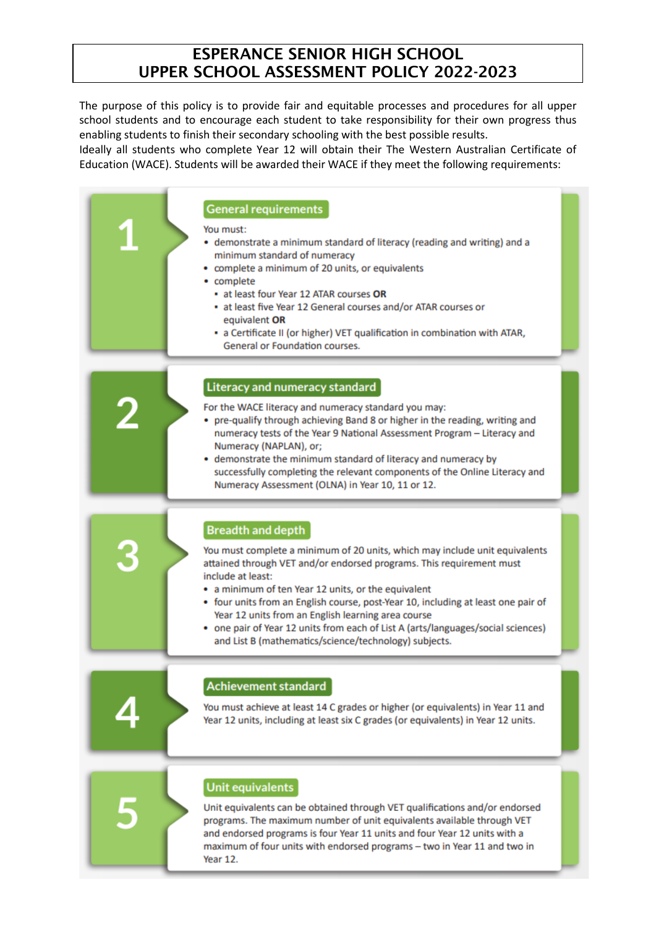# ESPERANCE SENIOR HIGH SCHOOL UPPER SCHOOL ASSESSMENT POLICY 2022-2023

The purpose of this policy is to provide fair and equitable processes and procedures for all upper school students and to encourage each student to take responsibility for their own progress thus enabling students to finish their secondary schooling with the best possible results.

Ideally all students who complete Year 12 will obtain their The Western Australian Certificate of Education (WACE). Students will be awarded their WACE if they meet the following requirements:

|   | <b>General requirements</b><br>You must:<br>• demonstrate a minimum standard of literacy (reading and writing) and a<br>minimum standard of numeracy<br>• complete a minimum of 20 units, or equivalents<br>• complete<br>• at least four Year 12 ATAR courses OR<br>- at least five Year 12 General courses and/or ATAR courses or<br>equivalent OR<br>• a Certificate II (or higher) VET qualification in combination with ATAR,<br>General or Foundation courses.                                                                                |
|---|-----------------------------------------------------------------------------------------------------------------------------------------------------------------------------------------------------------------------------------------------------------------------------------------------------------------------------------------------------------------------------------------------------------------------------------------------------------------------------------------------------------------------------------------------------|
| 2 | Literacy and numeracy standard<br>For the WACE literacy and numeracy standard you may:<br>• pre-qualify through achieving Band 8 or higher in the reading, writing and<br>numeracy tests of the Year 9 National Assessment Program - Literacy and<br>Numeracy (NAPLAN), or;<br>• demonstrate the minimum standard of literacy and numeracy by<br>successfully completing the relevant components of the Online Literacy and<br>Numeracy Assessment (OLNA) in Year 10, 11 or 12.                                                                     |
| B | <b>Breadth and depth</b><br>You must complete a minimum of 20 units, which may include unit equivalents<br>attained through VET and/or endorsed programs. This requirement must<br>include at least:<br>• a minimum of ten Year 12 units, or the equivalent<br>• four units from an English course, post-Year 10, including at least one pair of<br>Year 12 units from an English learning area course<br>• one pair of Year 12 units from each of List A (arts/languages/social sciences)<br>and List B (mathematics/science/technology) subjects. |
|   | Achievement standard<br>You must achieve at least 14 C grades or higher (or equivalents) in Year 11 and<br>Year 12 units, including at least six C grades (or equivalents) in Year 12 units.                                                                                                                                                                                                                                                                                                                                                        |
|   | <b>Unit equivalents</b><br>Unit equivalents can be obtained through VET qualifications and/or endorsed<br>programs. The maximum number of unit equivalents available through VET                                                                                                                                                                                                                                                                                                                                                                    |

programs. The maximum number of unit equivalents available through VET and endorsed programs is four Year 11 units and four Year 12 units with a maximum of four units with endorsed programs - two in Year 11 and two in Year 12.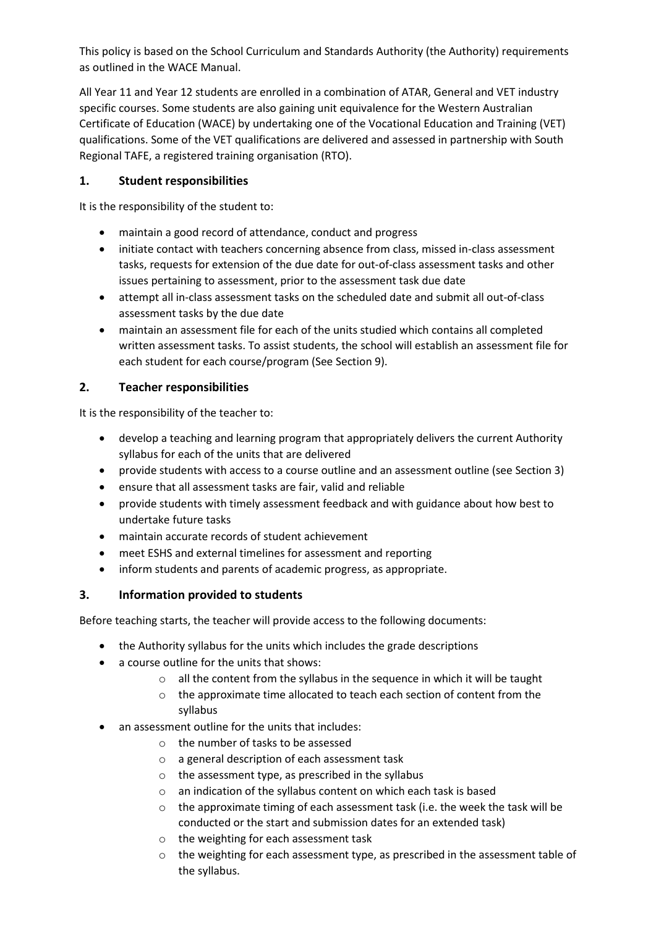This policy is based on the School Curriculum and Standards Authority (the Authority) requirements as outlined in the WACE Manual.

All Year 11 and Year 12 students are enrolled in a combination of ATAR, General and VET industry specific courses. Some students are also gaining unit equivalence for the Western Australian Certificate of Education (WACE) by undertaking one of the Vocational Education and Training (VET) qualifications. Some of the VET qualifications are delivered and assessed in partnership with South Regional TAFE, a registered training organisation (RTO).

#### **1. Student responsibilities**

It is the responsibility of the student to:

- maintain a good record of attendance, conduct and progress
- initiate contact with teachers concerning absence from class, missed in-class assessment tasks, requests for extension of the due date for out-of-class assessment tasks and other issues pertaining to assessment, prior to the assessment task due date
- attempt all in-class assessment tasks on the scheduled date and submit all out-of-class assessment tasks by the due date
- maintain an assessment file for each of the units studied which contains all completed written assessment tasks. To assist students, the school will establish an assessment file for each student for each course/program (See Section 9).

### **2. Teacher responsibilities**

It is the responsibility of the teacher to:

- develop a teaching and learning program that appropriately delivers the current Authority syllabus for each of the units that are delivered
- provide students with access to a course outline and an assessment outline (see Section 3)
- ensure that all assessment tasks are fair, valid and reliable
- provide students with timely assessment feedback and with guidance about how best to undertake future tasks
- maintain accurate records of student achievement
- meet ESHS and external timelines for assessment and reporting
- inform students and parents of academic progress, as appropriate.

### **3. Information provided to students**

Before teaching starts, the teacher will provide access to the following documents:

- the Authority syllabus for the units which includes the grade descriptions
- a course outline for the units that shows:
	- o all the content from the syllabus in the sequence in which it will be taught
	- $\circ$  the approximate time allocated to teach each section of content from the syllabus
- an assessment outline for the units that includes:
	- o the number of tasks to be assessed
	- o a general description of each assessment task
	- o the assessment type, as prescribed in the syllabus
	- o an indication of the syllabus content on which each task is based
	- $\circ$  the approximate timing of each assessment task (i.e. the week the task will be conducted or the start and submission dates for an extended task)
	- o the weighting for each assessment task
	- o the weighting for each assessment type, as prescribed in the assessment table of the syllabus.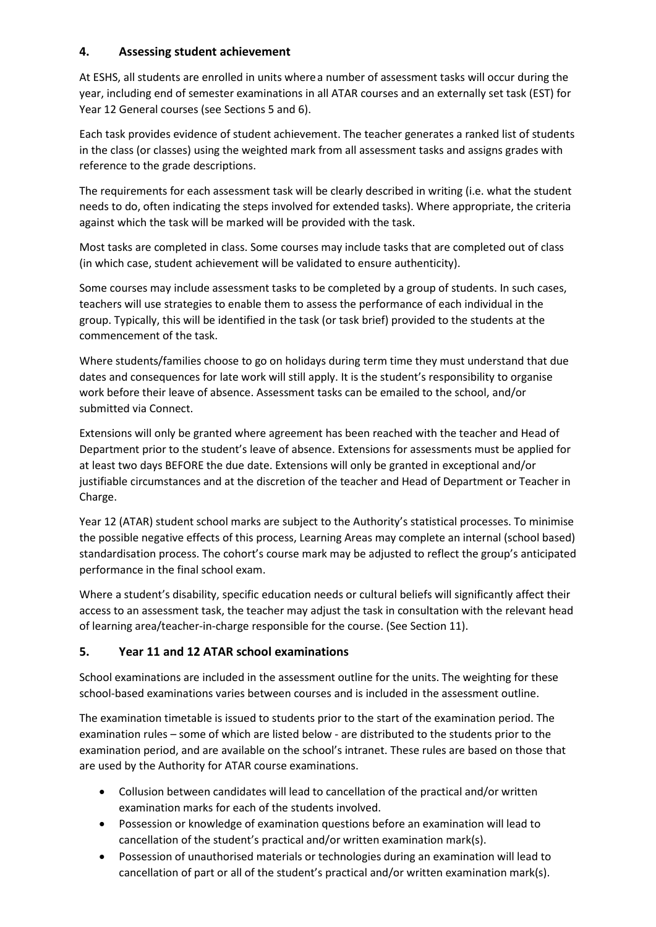### **4. Assessing student achievement**

At ESHS, all students are enrolled in units wherea number of assessment tasks will occur during the year, including end of semester examinations in all ATAR courses and an externally set task (EST) for Year 12 General courses (see Sections 5 and 6).

Each task provides evidence of student achievement. The teacher generates a ranked list of students in the class (or classes) using the weighted mark from all assessment tasks and assigns grades with reference to the grade descriptions.

The requirements for each assessment task will be clearly described in writing (i.e. what the student needs to do, often indicating the steps involved for extended tasks). Where appropriate, the criteria against which the task will be marked will be provided with the task.

Most tasks are completed in class. Some courses may include tasks that are completed out of class (in which case, student achievement will be validated to ensure authenticity).

Some courses may include assessment tasks to be completed by a group of students. In such cases, teachers will use strategies to enable them to assess the performance of each individual in the group. Typically, this will be identified in the task (or task brief) provided to the students at the commencement of the task.

Where students/families choose to go on holidays during term time they must understand that due dates and consequences for late work will still apply. It is the student's responsibility to organise work before their leave of absence. Assessment tasks can be emailed to the school, and/or submitted via Connect.

Extensions will only be granted where agreement has been reached with the teacher and Head of Department prior to the student's leave of absence. Extensions for assessments must be applied for at least two days BEFORE the due date. Extensions will only be granted in exceptional and/or justifiable circumstances and at the discretion of the teacher and Head of Department or Teacher in Charge.

Year 12 (ATAR) student school marks are subject to the Authority's statistical processes. To minimise the possible negative effects of this process, Learning Areas may complete an internal (school based) standardisation process. The cohort's course mark may be adjusted to reflect the group's anticipated performance in the final school exam.

Where a student's disability, specific education needs or cultural beliefs will significantly affect their access to an assessment task, the teacher may adjust the task in consultation with the relevant head of learning area/teacher-in-charge responsible for the course. (See Section 11).

### **5. Year 11 and 12 ATAR school examinations**

School examinations are included in the assessment outline for the units. The weighting for these school-based examinations varies between courses and is included in the assessment outline.

The examination timetable is issued to students prior to the start of the examination period. The examination rules – some of which are listed below - are distributed to the students prior to the examination period, and are available on the school's intranet. These rules are based on those that are used by the Authority for ATAR course examinations.

- Collusion between candidates will lead to cancellation of the practical and/or written examination marks for each of the students involved.
- Possession or knowledge of examination questions before an examination will lead to cancellation of the student's practical and/or written examination mark(s).
- Possession of unauthorised materials or technologies during an examination will lead to cancellation of part or all of the student's practical and/or written examination mark(s).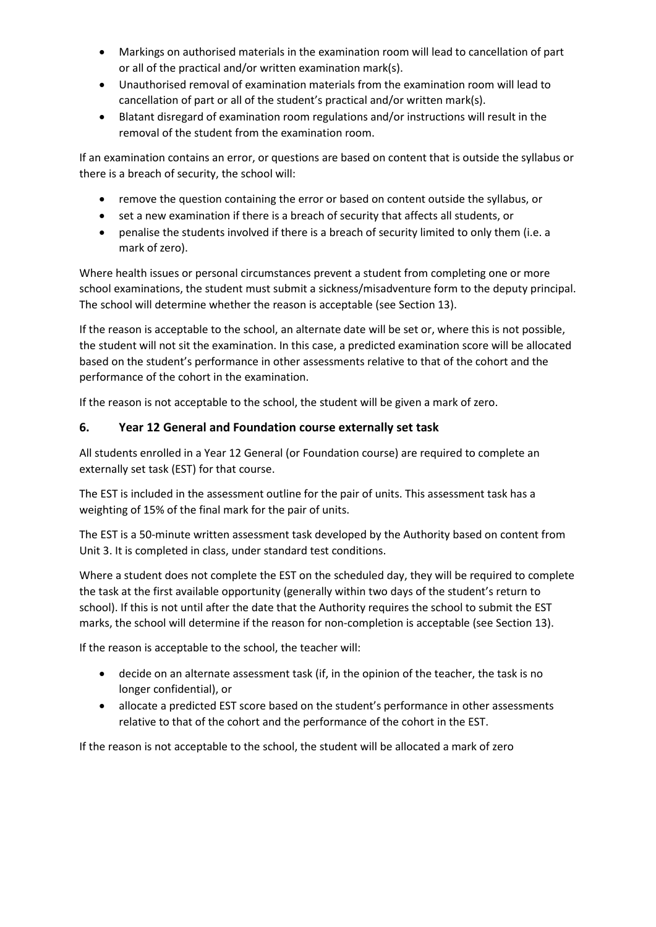- Markings on authorised materials in the examination room will lead to cancellation of part or all of the practical and/or written examination mark(s).
- Unauthorised removal of examination materials from the examination room will lead to cancellation of part or all of the student's practical and/or written mark(s).
- Blatant disregard of examination room regulations and/or instructions will result in the removal of the student from the examination room.

If an examination contains an error, or questions are based on content that is outside the syllabus or there is a breach of security, the school will:

- remove the question containing the error or based on content outside the syllabus, or
- set a new examination if there is a breach of security that affects all students, or
- penalise the students involved if there is a breach of security limited to only them (i.e. a mark of zero).

Where health issues or personal circumstances prevent a student from completing one or more school examinations, the student must submit a sickness/misadventure form to the deputy principal. The school will determine whether the reason is acceptable (see Section 13).

If the reason is acceptable to the school, an alternate date will be set or, where this is not possible, the student will not sit the examination. In this case, a predicted examination score will be allocated based on the student's performance in other assessments relative to that of the cohort and the performance of the cohort in the examination.

If the reason is not acceptable to the school, the student will be given a mark of zero.

#### **6. Year 12 General and Foundation course externally set task**

All students enrolled in a Year 12 General (or Foundation course) are required to complete an externally set task (EST) for that course.

The EST is included in the assessment outline for the pair of units. This assessment task has a weighting of 15% of the final mark for the pair of units.

The EST is a 50-minute written assessment task developed by the Authority based on content from Unit 3. It is completed in class, under standard test conditions.

Where a student does not complete the EST on the scheduled day, they will be required to complete the task at the first available opportunity (generally within two days of the student's return to school). If this is not until after the date that the Authority requires the school to submit the EST marks, the school will determine if the reason for non-completion is acceptable (see Section 13).

If the reason is acceptable to the school, the teacher will:

- decide on an alternate assessment task (if, in the opinion of the teacher, the task is no longer confidential), or
- allocate a predicted EST score based on the student's performance in other assessments relative to that of the cohort and the performance of the cohort in the EST.

If the reason is not acceptable to the school, the student will be allocated a mark of zero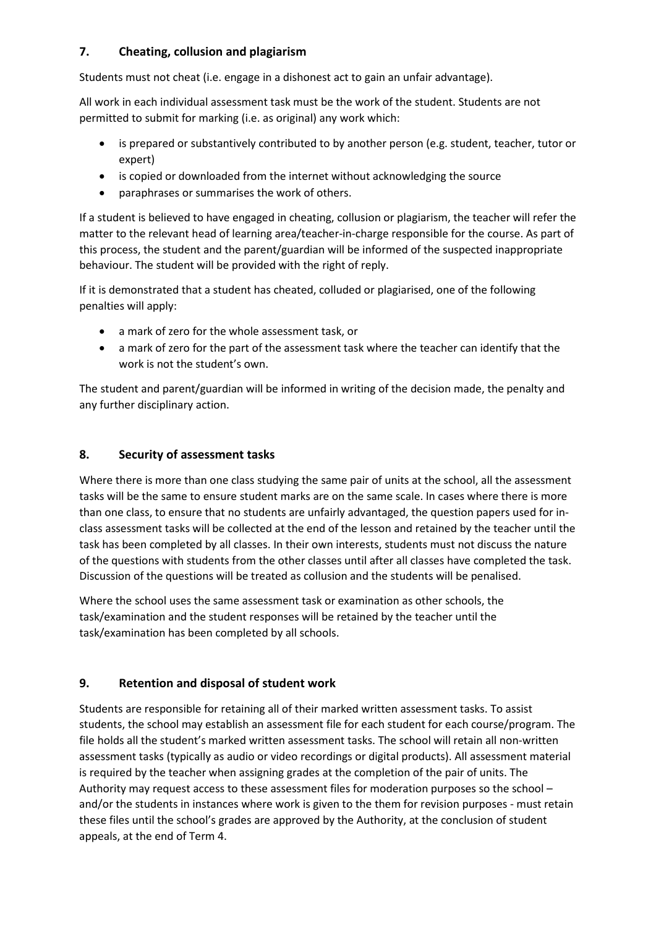## **7. Cheating, collusion and plagiarism**

Students must not cheat (i.e. engage in a dishonest act to gain an unfair advantage).

All work in each individual assessment task must be the work of the student. Students are not permitted to submit for marking (i.e. as original) any work which:

- is prepared or substantively contributed to by another person (e.g. student, teacher, tutor or expert)
- is copied or downloaded from the internet without acknowledging the source
- paraphrases or summarises the work of others.

If a student is believed to have engaged in cheating, collusion or plagiarism, the teacher will refer the matter to the relevant head of learning area/teacher-in-charge responsible for the course. As part of this process, the student and the parent/guardian will be informed of the suspected inappropriate behaviour. The student will be provided with the right of reply.

If it is demonstrated that a student has cheated, colluded or plagiarised, one of the following penalties will apply:

- a mark of zero for the whole assessment task, or
- a mark of zero for the part of the assessment task where the teacher can identify that the work is not the student's own.

The student and parent/guardian will be informed in writing of the decision made, the penalty and any further disciplinary action.

#### **8. Security of assessment tasks**

Where there is more than one class studying the same pair of units at the school, all the assessment tasks will be the same to ensure student marks are on the same scale. In cases where there is more than one class, to ensure that no students are unfairly advantaged, the question papers used for inclass assessment tasks will be collected at the end of the lesson and retained by the teacher until the task has been completed by all classes. In their own interests, students must not discuss the nature of the questions with students from the other classes until after all classes have completed the task. Discussion of the questions will be treated as collusion and the students will be penalised.

Where the school uses the same assessment task or examination as other schools, the task/examination and the student responses will be retained by the teacher until the task/examination has been completed by all schools.

### **9. Retention and disposal of student work**

Students are responsible for retaining all of their marked written assessment tasks. To assist students, the school may establish an assessment file for each student for each course/program. The file holds all the student's marked written assessment tasks. The school will retain all non-written assessment tasks (typically as audio or video recordings or digital products). All assessment material is required by the teacher when assigning grades at the completion of the pair of units. The Authority may request access to these assessment files for moderation purposes so the school – and/or the students in instances where work is given to the them for revision purposes - must retain these files until the school's grades are approved by the Authority, at the conclusion of student appeals, at the end of Term 4.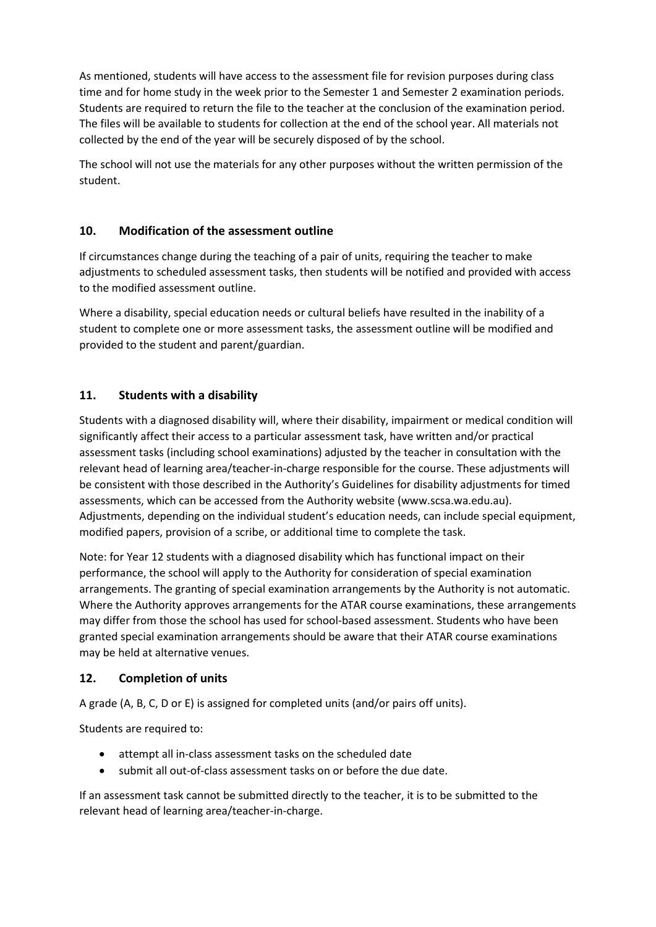As mentioned, students will have access to the assessment file for revision purposes during class time and for home study in the week prior to the Semester 1 and Semester 2 examination periods. Students are required to return the file to the teacher at the conclusion of the examination period. The files will be available to students for collection at the end of the school year. All materials not collected by the end of the year will be securely disposed of by the school.

The school will not use the materials for any other purposes without the written permission of the student.

### **10. Modification of the assessment outline**

If circumstances change during the teaching of a pair of units, requiring the teacher to make adjustments to scheduled assessment tasks, then students will be notified and provided with access to the modified assessment outline.

Where a disability, special education needs or cultural beliefs have resulted in the inability of a student to complete one or more assessment tasks, the assessment outline will be modified and provided to the student and parent/guardian.

## **11. Students with a disability**

Students with a diagnosed disability will, where their disability, impairment or medical condition will significantly affect their access to a particular assessment task, have written and/or practical assessment tasks (including school examinations) adjusted by the teacher in consultation with the relevant head of learning area/teacher-in-charge responsible for the course. These adjustments will be consistent with those described in the Authority's Guidelines for disability adjustments for timed assessments, which can be accessed from the Authority website (www.scsa.wa.edu.au). Adjustments, depending on the individual student's education needs, can include special equipment, modified papers, provision of a scribe, or additional time to complete the task.

Note: for Year 12 students with a diagnosed disability which has functional impact on their performance, the school will apply to the Authority for consideration of special examination arrangements. The granting of special examination arrangements by the Authority is not automatic. Where the Authority approves arrangements for the ATAR course examinations, these arrangements may differ from those the school has used for school-based assessment. Students who have been granted special examination arrangements should be aware that their ATAR course examinations may be held at alternative venues.

### **12. Completion of units**

A grade (A, B, C, D or E) is assigned for completed units (and/or pairs off units).

Students are required to:

- attempt all in-class assessment tasks on the scheduled date
- submit all out-of-class assessment tasks on or before the due date.

If an assessment task cannot be submitted directly to the teacher, it is to be submitted to the relevant head of learning area/teacher-in-charge.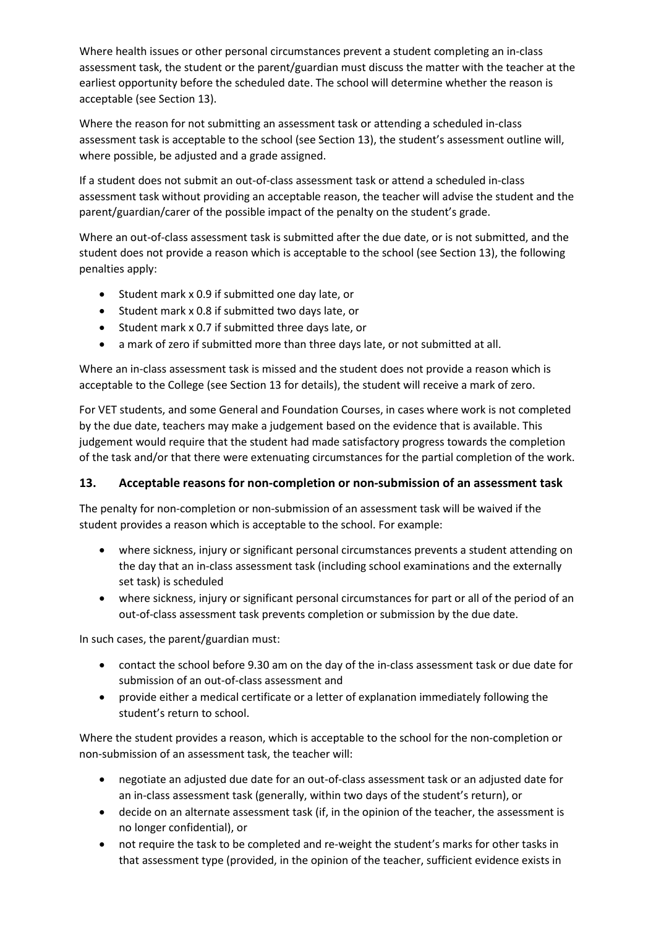Where health issues or other personal circumstances prevent a student completing an in-class assessment task, the student or the parent/guardian must discuss the matter with the teacher at the earliest opportunity before the scheduled date. The school will determine whether the reason is acceptable (see Section 13).

Where the reason for not submitting an assessment task or attending a scheduled in-class assessment task is acceptable to the school (see Section 13), the student's assessment outline will, where possible, be adjusted and a grade assigned.

If a student does not submit an out-of-class assessment task or attend a scheduled in-class assessment task without providing an acceptable reason, the teacher will advise the student and the parent/guardian/carer of the possible impact of the penalty on the student's grade.

Where an out-of-class assessment task is submitted after the due date, or is not submitted, and the student does not provide a reason which is acceptable to the school (see Section 13), the following penalties apply:

- Student mark x 0.9 if submitted one day late, or
- Student mark x 0.8 if submitted two days late, or
- Student mark x 0.7 if submitted three days late, or
- a mark of zero if submitted more than three days late, or not submitted at all.

Where an in-class assessment task is missed and the student does not provide a reason which is acceptable to the College (see Section 13 for details), the student will receive a mark of zero.

For VET students, and some General and Foundation Courses, in cases where work is not completed by the due date, teachers may make a judgement based on the evidence that is available. This judgement would require that the student had made satisfactory progress towards the completion of the task and/or that there were extenuating circumstances for the partial completion of the work.

#### **13. Acceptable reasons for non-completion or non-submission of an assessment task**

The penalty for non-completion or non-submission of an assessment task will be waived if the student provides a reason which is acceptable to the school. For example:

- where sickness, injury or significant personal circumstances prevents a student attending on the day that an in-class assessment task (including school examinations and the externally set task) is scheduled
- where sickness, injury or significant personal circumstances for part or all of the period of an out-of-class assessment task prevents completion or submission by the due date.

In such cases, the parent/guardian must:

- contact the school before 9.30 am on the day of the in-class assessment task or due date for submission of an out-of-class assessment and
- provide either a medical certificate or a letter of explanation immediately following the student's return to school.

Where the student provides a reason, which is acceptable to the school for the non-completion or non-submission of an assessment task, the teacher will:

- negotiate an adjusted due date for an out-of-class assessment task or an adjusted date for an in-class assessment task (generally, within two days of the student's return), or
- decide on an alternate assessment task (if, in the opinion of the teacher, the assessment is no longer confidential), or
- not require the task to be completed and re-weight the student's marks for other tasks in that assessment type (provided, in the opinion of the teacher, sufficient evidence exists in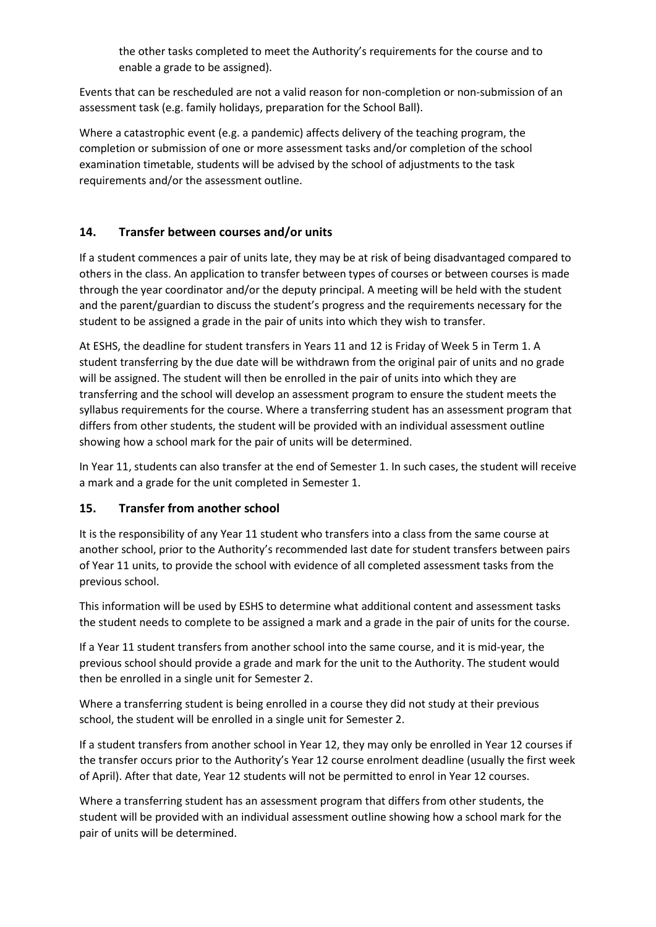the other tasks completed to meet the Authority's requirements for the course and to enable a grade to be assigned).

Events that can be rescheduled are not a valid reason for non-completion or non-submission of an assessment task (e.g. family holidays, preparation for the School Ball).

Where a catastrophic event (e.g. a pandemic) affects delivery of the teaching program, the completion or submission of one or more assessment tasks and/or completion of the school examination timetable, students will be advised by the school of adjustments to the task requirements and/or the assessment outline.

#### **14. Transfer between courses and/or units**

If a student commences a pair of units late, they may be at risk of being disadvantaged compared to others in the class. An application to transfer between types of courses or between courses is made through the year coordinator and/or the deputy principal. A meeting will be held with the student and the parent/guardian to discuss the student's progress and the requirements necessary for the student to be assigned a grade in the pair of units into which they wish to transfer.

At ESHS, the deadline for student transfers in Years 11 and 12 is Friday of Week 5 in Term 1. A student transferring by the due date will be withdrawn from the original pair of units and no grade will be assigned. The student will then be enrolled in the pair of units into which they are transferring and the school will develop an assessment program to ensure the student meets the syllabus requirements for the course. Where a transferring student has an assessment program that differs from other students, the student will be provided with an individual assessment outline showing how a school mark for the pair of units will be determined.

In Year 11, students can also transfer at the end of Semester 1. In such cases, the student will receive a mark and a grade for the unit completed in Semester 1.

#### **15. Transfer from another school**

It is the responsibility of any Year 11 student who transfers into a class from the same course at another school, prior to the Authority's recommended last date for student transfers between pairs of Year 11 units, to provide the school with evidence of all completed assessment tasks from the previous school.

This information will be used by ESHS to determine what additional content and assessment tasks the student needs to complete to be assigned a mark and a grade in the pair of units for the course.

If a Year 11 student transfers from another school into the same course, and it is mid-year, the previous school should provide a grade and mark for the unit to the Authority. The student would then be enrolled in a single unit for Semester 2.

Where a transferring student is being enrolled in a course they did not study at their previous school, the student will be enrolled in a single unit for Semester 2.

If a student transfers from another school in Year 12, they may only be enrolled in Year 12 courses if the transfer occurs prior to the Authority's Year 12 course enrolment deadline (usually the first week of April). After that date, Year 12 students will not be permitted to enrol in Year 12 courses.

Where a transferring student has an assessment program that differs from other students, the student will be provided with an individual assessment outline showing how a school mark for the pair of units will be determined.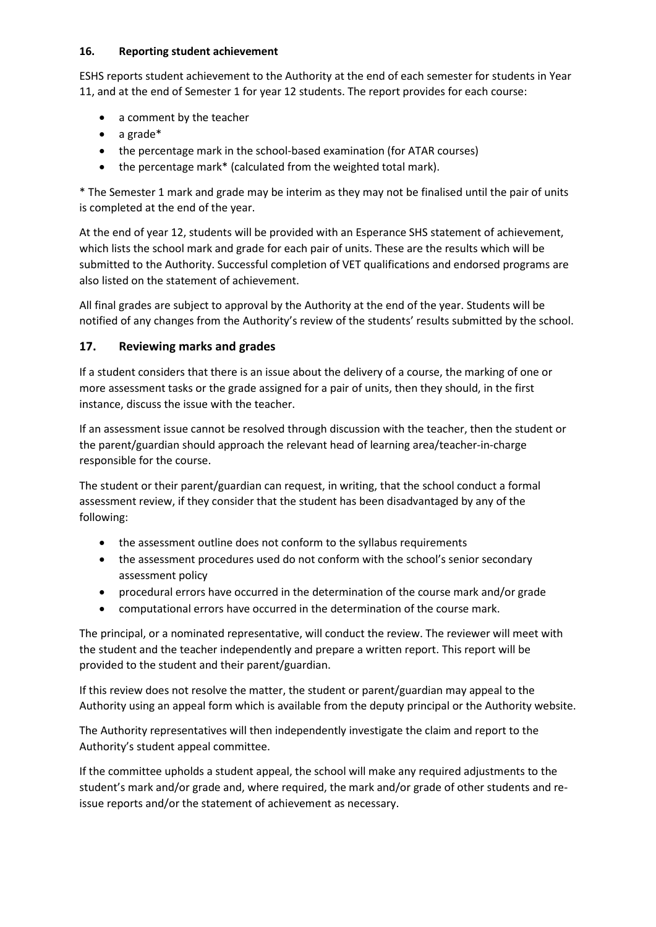#### **16. Reporting student achievement**

ESHS reports student achievement to the Authority at the end of each semester for students in Year 11, and at the end of Semester 1 for year 12 students. The report provides for each course:

- a comment by the teacher
- a grade\*
- the percentage mark in the school-based examination (for ATAR courses)
- the percentage mark\* (calculated from the weighted total mark).

\* The Semester 1 mark and grade may be interim as they may not be finalised until the pair of units is completed at the end of the year.

At the end of year 12, students will be provided with an Esperance SHS statement of achievement, which lists the school mark and grade for each pair of units. These are the results which will be submitted to the Authority. Successful completion of VET qualifications and endorsed programs are also listed on the statement of achievement.

All final grades are subject to approval by the Authority at the end of the year. Students will be notified of any changes from the Authority's review of the students' results submitted by the school.

#### **17. Reviewing marks and grades**

If a student considers that there is an issue about the delivery of a course, the marking of one or more assessment tasks or the grade assigned for a pair of units, then they should, in the first instance, discuss the issue with the teacher.

If an assessment issue cannot be resolved through discussion with the teacher, then the student or the parent/guardian should approach the relevant head of learning area/teacher-in-charge responsible for the course.

The student or their parent/guardian can request, in writing, that the school conduct a formal assessment review, if they consider that the student has been disadvantaged by any of the following:

- the assessment outline does not conform to the syllabus requirements
- the assessment procedures used do not conform with the school's senior secondary assessment policy
- procedural errors have occurred in the determination of the course mark and/or grade
- computational errors have occurred in the determination of the course mark.

The principal, or a nominated representative, will conduct the review. The reviewer will meet with the student and the teacher independently and prepare a written report. This report will be provided to the student and their parent/guardian.

If this review does not resolve the matter, the student or parent/guardian may appeal to the Authority using an appeal form which is available from the deputy principal or the Authority website.

The Authority representatives will then independently investigate the claim and report to the Authority's student appeal committee.

If the committee upholds a student appeal, the school will make any required adjustments to the student's mark and/or grade and, where required, the mark and/or grade of other students and reissue reports and/or the statement of achievement as necessary.

####